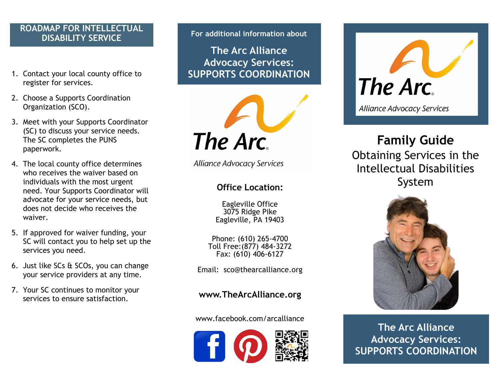## **ROADMAP FOR INTELLECTUAL DISABILITY SERVICE**

- 1. Contact your local county office to register for services.
- 2. Choose a Supports Coordination Organization (SCO).
- 3. Meet with your Supports Coordinator (SC) to discuss your service needs. The SC completes the PUNS paperwork.
- 4. The local county office determines who receives the waiver based on individuals with the most urgent need. Your Supports Coordinator will advocate for your service needs, but does not decide who receives the waiver.
- 5. If approved for waiver funding, your SC will contact you to help set up the services you need.
- 6. Just like SCs & SCOs, you can change your service providers at any time.
- 7. Your SC continues to monitor your services to ensure satisfaction.

**For additional information about** 

**The Arc Alliance Advocacy Services: SUPPORTS COORDINATION**



**Alliance Advocacy Services** 

## **Office Location:**

Eagleville Office 3075 Ridge Pike Eagleville, PA 19403

Phone: (610) 265-4700 Toll Free:(877) 484-3272 Fax: (610) 406-6127

Email: sco@thearcalliance.org

## **www.TheArcAlliance.org**

www.facebook.com/arcalliance





**Family Guide** Obtaining Services in the Intellectual Disabilities System



**The Arc Alliance Advocacy Services: SUPPORTS COORDINATION**